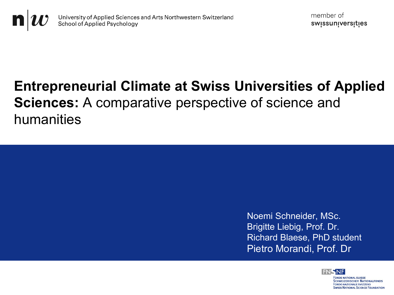

# **Entrepreneurial Climate at Swiss Universities of Applied Sciences:** A comparative perspective of science and humanities



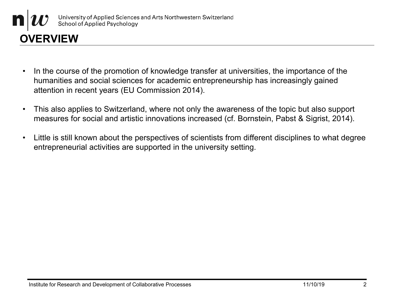

- In the course of the promotion of knowledge transfer at universities, the importance of the humanities and social sciences for academic entrepreneurship has increasingly gained attention in recent years (EU Commission 2014).
- This also applies to Switzerland, where not only the awareness of the topic but also support measures for social and artistic innovations increased (cf. Bornstein, Pabst & Sigrist, 2014).
- Little is still known about the perspectives of scientists from different disciplines to what degree entrepreneurial activities are supported in the university setting.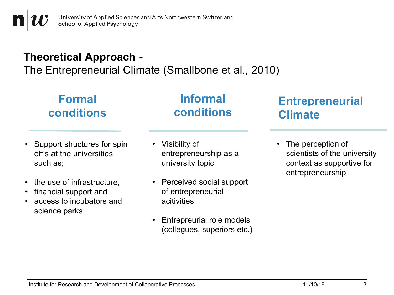University of Applied Sciences and Arts Northwestern Switzerland **School of Applied Psychology** 

#### **Theoretical Approach -**

The Entrepreneurial Climate (Smallbone et al., 2010)

### **Formal conditions**

#### **Informal conditions**

## **Entrepreneurial Climate**

- Support structures for spin off's at the universities such as;
- the use of infrastructure.
- financial support and
- access to incubators and science parks
- Visibility of entrepreneurship as a university topic
- Perceived social support of entrepreneurial acitivities
- Entrepreurial role models (collegues, superiors etc.)

• The perception of scientists of the university context as supportive for entrepreneurship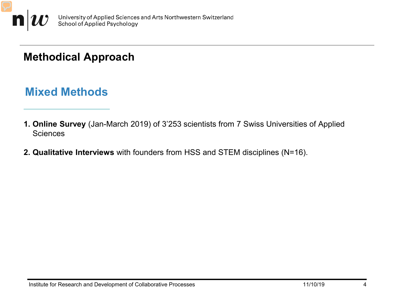

#### **Methodical Approach**

#### **Mixed Methods**

- **1. Online Survey** (Jan-March 2019) of 3'253 scientists from 7 Swiss Universities of Applied **Sciences**
- **2. Qualitative Interviews** with founders from HSS and STEM disciplines (N=16).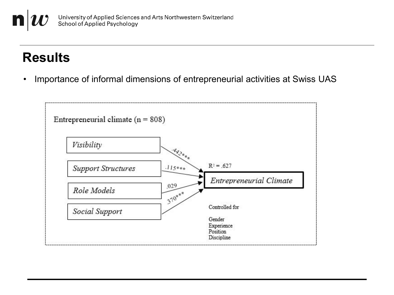## **Results**

• Importance of informal dimensions of entrepreneurial activities at Swiss UAS